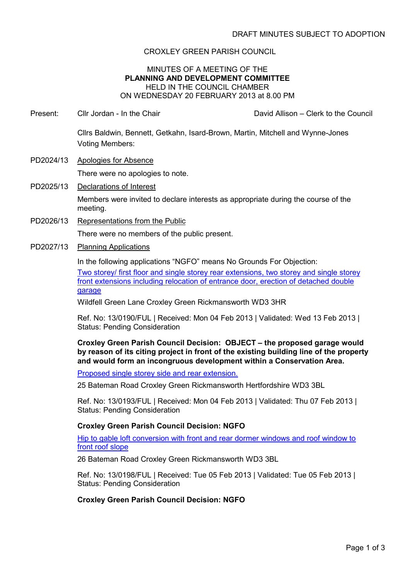# CROXLEY GREEN PARISH COUNCIL

### MINUTES OF A MEETING OF THE **PLANNING AND DEVELOPMENT COMMITTEE** HELD IN THE COUNCIL CHAMBER ON WEDNESDAY 20 FEBRUARY 2013 at 8.00 PM

Present: Cllr Jordan - In the Chair David Allison – Clerk to the Council

Cllrs Baldwin, Bennett, Getkahn, Isard-Brown, Martin, Mitchell and Wynne-Jones Voting Members:

- PD2024/13 Apologies for Absence There were no apologies to note.
- PD2025/13 Declarations of Interest Members were invited to declare interests as appropriate during the course of the meeting.
- PD2026/13 Representations from the Public

There were no members of the public present.

PD2027/13 Planning Applications

In the following applications "NGFO" means No Grounds For Objection:

Two storey/ first floor and single storey rear extensions, two storey and single storey front extensions including relocation of entrance door, erection of detached double garage

Wildfell Green Lane Croxley Green Rickmansworth WD3 3HR

Ref. No: 13/0190/FUL | Received: Mon 04 Feb 2013 | Validated: Wed 13 Feb 2013 | Status: Pending Consideration

**Croxley Green Parish Council Decision: OBJECT – the proposed garage would by reason of its citing project in front of the existing building line of the property and would form an incongruous development within a Conservation Area.**

Proposed single storey side and rear extension.

25 Bateman Road Croxley Green Rickmansworth Hertfordshire WD3 3BL

Ref. No: 13/0193/FUL | Received: Mon 04 Feb 2013 | Validated: Thu 07 Feb 2013 | Status: Pending Consideration

# **Croxley Green Parish Council Decision: NGFO**

Hip to gable loft conversion with front and rear dormer windows and roof window to front roof slope

26 Bateman Road Croxley Green Rickmansworth WD3 3BL

Ref. No: 13/0198/FUL | Received: Tue 05 Feb 2013 | Validated: Tue 05 Feb 2013 | Status: Pending Consideration

#### **Croxley Green Parish Council Decision: NGFO**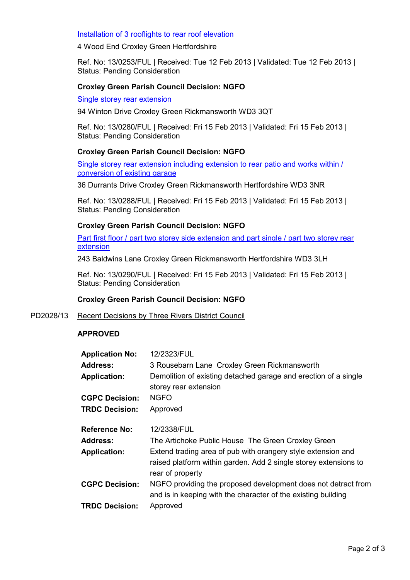## Installation of 3 rooflights to rear roof elevation

4 Wood End Croxley Green Hertfordshire

Ref. No: 13/0253/FUL | Received: Tue 12 Feb 2013 | Validated: Tue 12 Feb 2013 | Status: Pending Consideration

### **Croxley Green Parish Council Decision: NGFO**

Single storey rear extension

94 Winton Drive Croxley Green Rickmansworth WD3 3QT

Ref. No: 13/0280/FUL | Received: Fri 15 Feb 2013 | Validated: Fri 15 Feb 2013 | Status: Pending Consideration

### **Croxley Green Parish Council Decision: NGFO**

Single storey rear extension including extension to rear patio and works within / conversion of existing garage

36 Durrants Drive Croxley Green Rickmansworth Hertfordshire WD3 3NR

Ref. No: 13/0288/FUL | Received: Fri 15 Feb 2013 | Validated: Fri 15 Feb 2013 | Status: Pending Consideration

# **Croxley Green Parish Council Decision: NGFO**

Part first floor / part two storey side extension and part single / part two storey rear extension

243 Baldwins Lane Croxley Green Rickmansworth Hertfordshire WD3 3LH

Ref. No: 13/0290/FUL | Received: Fri 15 Feb 2013 | Validated: Fri 15 Feb 2013 | Status: Pending Consideration

#### **Croxley Green Parish Council Decision: NGFO**

PD2028/13 Recent Decisions by Three Rivers District Council

# **APPROVED**

| <b>Application No:</b> | 12/2323/FUL                                                                                                                                          |
|------------------------|------------------------------------------------------------------------------------------------------------------------------------------------------|
| <b>Address:</b>        | 3 Rousebarn Lane Croxley Green Rickmansworth                                                                                                         |
| <b>Application:</b>    | Demolition of existing detached garage and erection of a single<br>storey rear extension                                                             |
| <b>CGPC Decision:</b>  | <b>NGFO</b>                                                                                                                                          |
| <b>TRDC Decision:</b>  | Approved                                                                                                                                             |
| <b>Reference No:</b>   | 12/2338/FUL                                                                                                                                          |
| <b>Address:</b>        | The Artichoke Public House The Green Croxley Green                                                                                                   |
| <b>Application:</b>    | Extend trading area of pub with orangery style extension and<br>raised platform within garden. Add 2 single storey extensions to<br>rear of property |
| <b>CGPC Decision:</b>  | NGFO providing the proposed development does not detract from<br>and is in keeping with the character of the existing building                       |
| <b>TRDC Decision:</b>  | Approved                                                                                                                                             |